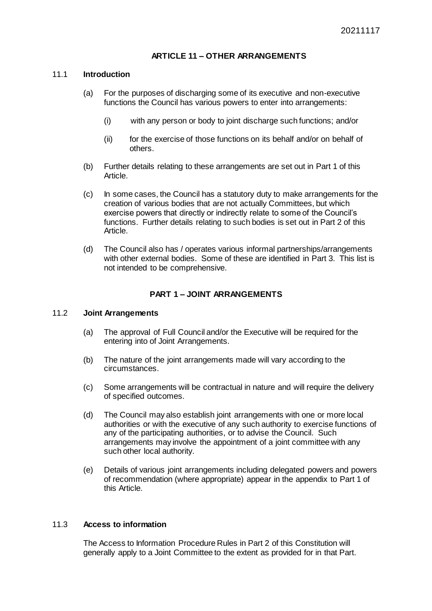# **ARTICLE 11 – OTHER ARRANGEMENTS**

#### 11.1 **Introduction**

- (a) For the purposes of discharging some of its executive and non-executive functions the Council has various powers to enter into arrangements:
	- (i) with any person or body to joint discharge such functions; and/or
	- (ii) for the exercise of those functions on its behalf and/or on behalf of others.
- (b) Further details relating to these arrangements are set out in Part 1 of this Article.
- (c) In some cases, the Council has a statutory duty to make arrangements for the creation of various bodies that are not actually Committees, but which exercise powers that directly or indirectly relate to some of the Council's functions. Further details relating to such bodies is set out in Part 2 of this Article.
- (d) The Council also has / operates various informal partnerships/arrangements with other external bodies. Some of these are identified in Part 3. This list is not intended to be comprehensive.

# **PART 1 – JOINT ARRANGEMENTS**

#### 11.2 **Joint Arrangements**

- (a) The approval of Full Council and/or the Executive will be required for the entering into of Joint Arrangements.
- (b) The nature of the joint arrangements made will vary according to the circumstances.
- (c) Some arrangements will be contractual in nature and will require the delivery of specified outcomes.
- (d) The Council may also establish joint arrangements with one or more local authorities or with the executive of any such authority to exercise functions of any of the participating authorities, or to advise the Council. Such arrangements may involve the appointment of a joint committee with any such other local authority.
- (e) Details of various joint arrangements including delegated powers and powers of recommendation (where appropriate) appear in the appendix to Part 1 of this Article.

# 11.3 **Access to information**

The Access to Information Procedure Rules in Part 2 of this Constitution will generally apply to a Joint Committee to the extent as provided for in that Part.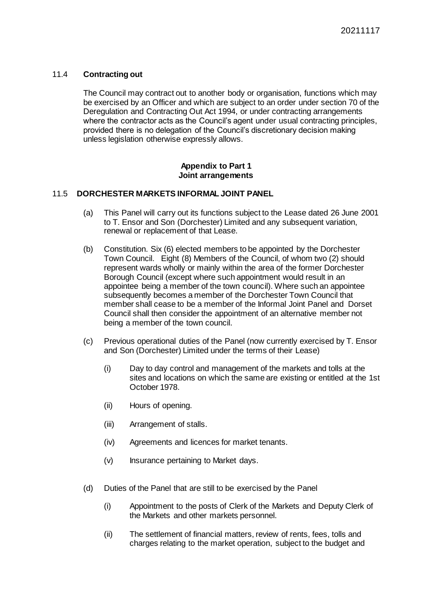# 11.4 **Contracting out**

The Council may contract out to another body or organisation, functions which may be exercised by an Officer and which are subject to an order under section 70 of the Deregulation and Contracting Out Act 1994, or under contracting arrangements where the contractor acts as the Council's agent under usual contracting principles, provided there is no delegation of the Council's discretionary decision making unless legislation otherwise expressly allows.

### **Appendix to Part 1 Joint arrangements**

# 11.5 **DORCHESTER MARKETS INFORMAL JOINT PANEL**

- (a) This Panel will carry out its functions subject to the Lease dated 26 June 2001 to T. Ensor and Son (Dorchester) Limited and any subsequent variation, renewal or replacement of that Lease.
- (b) Constitution. Six (6) elected members to be appointed by the Dorchester Town Council. Eight (8) Members of the Council, of whom two (2) should represent wards wholly or mainly within the area of the former Dorchester Borough Council (except where such appointment would result in an appointee being a member of the town council). Where such an appointee subsequently becomes a member of the Dorchester Town Council that member shall cease to be a member of the Informal Joint Panel and Dorset Council shall then consider the appointment of an alternative member not being a member of the town council.
- (c) Previous operational duties of the Panel (now currently exercised by T. Ensor and Son (Dorchester) Limited under the terms of their Lease)
	- (i) Day to day control and management of the markets and tolls at the sites and locations on which the same are existing or entitled at the 1st October 1978.
	- (ii) Hours of opening.
	- (iii) Arrangement of stalls.
	- (iv) Agreements and licences for market tenants.
	- (v) Insurance pertaining to Market days.
- (d) Duties of the Panel that are still to be exercised by the Panel
	- (i) Appointment to the posts of Clerk of the Markets and Deputy Clerk of the Markets and other markets personnel.
	- (ii) The settlement of financial matters, review of rents, fees, tolls and charges relating to the market operation, subject to the budget and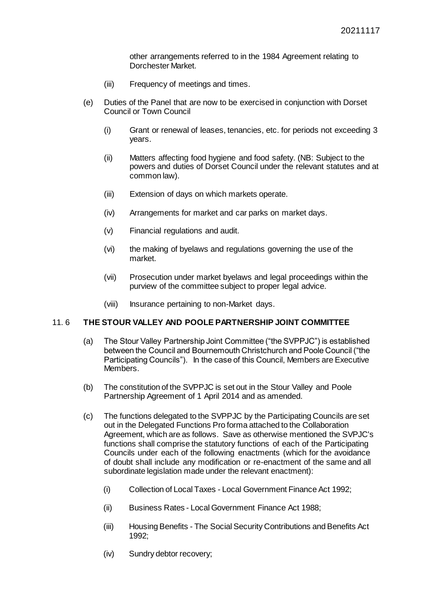other arrangements referred to in the 1984 Agreement relating to Dorchester Market.

- (iii) Frequency of meetings and times.
- (e) Duties of the Panel that are now to be exercised in conjunction with Dorset Council or Town Council
	- (i) Grant or renewal of leases, tenancies, etc. for periods not exceeding 3 years.
	- (ii) Matters affecting food hygiene and food safety. (NB: Subject to the powers and duties of Dorset Council under the relevant statutes and at common law).
	- (iii) Extension of days on which markets operate.
	- (iv) Arrangements for market and car parks on market days.
	- (v) Financial regulations and audit.
	- (vi) the making of byelaws and regulations governing the use of the market.
	- (vii) Prosecution under market byelaws and legal proceedings within the purview of the committee subject to proper legal advice.
	- (viii) Insurance pertaining to non-Market days.

#### 11. 6 **THE STOUR VALLEY AND POOLE PARTNERSHIP JOINT COMMITTEE**

- (a) The Stour Valley Partnership Joint Committee ("the SVPPJC") is established between the Council and Bournemouth Christchurch and Poole Council ("the Participating Councils"). In the case of this Council, Members are Executive Members.
- (b) The constitution of the SVPPJC is set out in the Stour Valley and Poole Partnership Agreement of 1 April 2014 and as amended.
- (c) The functions delegated to the SVPPJC by the Participating Councils are set out in the Delegated Functions Pro forma attached to the Collaboration Agreement, which are as follows. Save as otherwise mentioned the SVPJC's functions shall comprise the statutory functions of each of the Participating Councils under each of the following enactments (which for the avoidance of doubt shall include any modification or re-enactment of the same and all subordinate legislation made under the relevant enactment):
	- (i) Collection of Local Taxes Local Government Finance Act 1992;
	- (ii) Business Rates Local Government Finance Act 1988;
	- (iii) Housing Benefits The Social Security Contributions and Benefits Act 1992;
	- (iv) Sundry debtor recovery;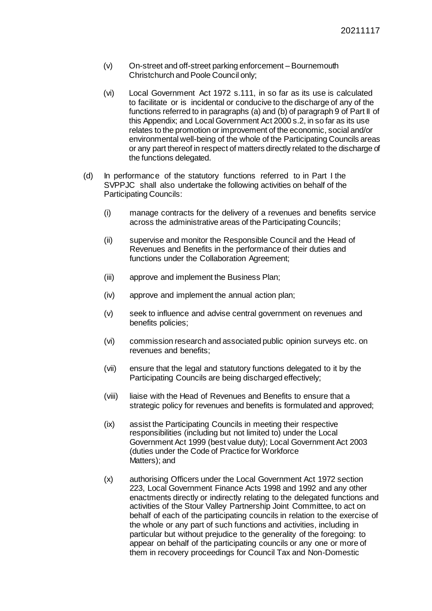- (v) On-street and off-street parking enforcement Bournemouth Christchurch and Poole Council only;
- (vi) Local Government Act 1972 s.111, in so far as its use is calculated to facilitate or is incidental or conducive to the discharge of any of the functions referred to in paragraphs (a) and (b) of paragraph 9 of Part II of this Appendix; and Local Government Act 2000 s.2, in so far as its use relates to the promotion or improvement of the economic, social and/or environmental well-being of the whole of the Participating Councils areas or any part thereof in respect of matters directly related to the discharge of the functions delegated.
- (d) In performance of the statutory functions referred to in Part I the SVPPJC shall also undertake the following activities on behalf of the Participating Councils:
	- (i) manage contracts for the delivery of a revenues and benefits service across the administrative areas of the Participating Councils;
	- (ii) supervise and monitor the Responsible Council and the Head of Revenues and Benefits in the performance of their duties and functions under the Collaboration Agreement;
	- (iii) approve and implement the Business Plan;
	- (iv) approve and implement the annual action plan;
	- (v) seek to influence and advise central government on revenues and benefits policies;
	- (vi) commission research and associated public opinion surveys etc. on revenues and benefits;
	- (vii) ensure that the legal and statutory functions delegated to it by the Participating Councils are being discharged effectively;
	- (viii) liaise with the Head of Revenues and Benefits to ensure that a strategic policy for revenues and benefits is formulated and approved;
	- (ix) assist the Participating Councils in meeting their respective responsibilities (including but not limited to) under the Local Government Act 1999 (best value duty); Local Government Act 2003 (duties under the Code of Practice for Workforce Matters); and
	- (x) authorising Officers under the Local Government Act 1972 section 223, Local Government Finance Acts 1998 and 1992 and any other enactments directly or indirectly relating to the delegated functions and activities of the Stour Valley Partnership Joint Committee, to act on behalf of each of the participating councils in relation to the exercise of the whole or any part of such functions and activities, including in particular but without prejudice to the generality of the foregoing: to appear on behalf of the participating councils or any one or more of them in recovery proceedings for Council Tax and Non-Domestic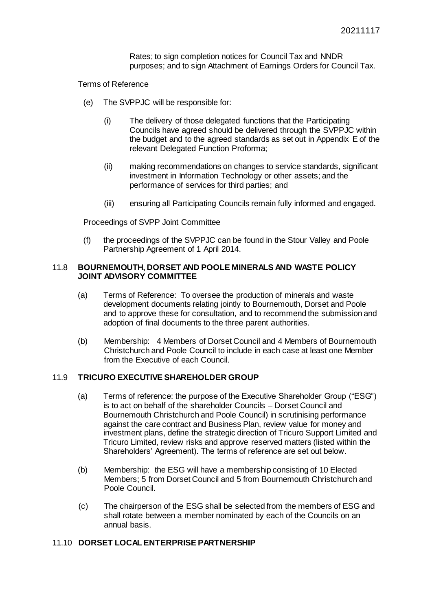Rates; to sign completion notices for Council Tax and NNDR purposes; and to sign Attachment of Earnings Orders for Council Tax.

Terms of Reference

- (e) The SVPPJC will be responsible for:
	- (i) The delivery of those delegated functions that the Participating Councils have agreed should be delivered through the SVPPJC within the budget and to the agreed standards as set out in Appendix E of the relevant Delegated Function Proforma;
	- (ii) making recommendations on changes to service standards, significant investment in Information Technology or other assets; and the performance of services for third parties; and
	- (iii) ensuring all Participating Councils remain fully informed and engaged.

Proceedings of SVPP Joint Committee

(f) the proceedings of the SVPPJC can be found in the Stour Valley and Poole Partnership Agreement of 1 April 2014.

# 11.8 **BOURNEMOUTH, DORSET AND POOLE MINERALS AND WASTE POLICY JOINT ADVISORY COMMITTEE**

- (a) Terms of Reference: To oversee the production of minerals and waste development documents relating jointly to Bournemouth, Dorset and Poole and to approve these for consultation, and to recommend the submission and adoption of final documents to the three parent authorities.
- (b) Membership: 4 Members of Dorset Council and 4 Members of Bournemouth Christchurch and Poole Council to include in each case at least one Member from the Executive of each Council.

# 11.9 **TRICURO EXECUTIVE SHAREHOLDER GROUP**

- (a) Terms of reference: the purpose of the Executive Shareholder Group ("ESG") is to act on behalf of the shareholder Councils – Dorset Council and Bournemouth Christchurch and Poole Council) in scrutinising performance against the care contract and Business Plan, review value for money and investment plans, define the strategic direction of Tricuro Support Limited and Tricuro Limited, review risks and approve reserved matters (listed within the Shareholders' Agreement). The terms of reference are set out below.
- (b) Membership: the ESG will have a membership consisting of 10 Elected Members; 5 from Dorset Council and 5 from Bournemouth Christchurch and Poole Council.
- (c) The chairperson of the ESG shall be selected from the members of ESG and shall rotate between a member nominated by each of the Councils on an annual basis.

# 11.10 **DORSET LOCAL ENTERPRISE PARTNERSHIP**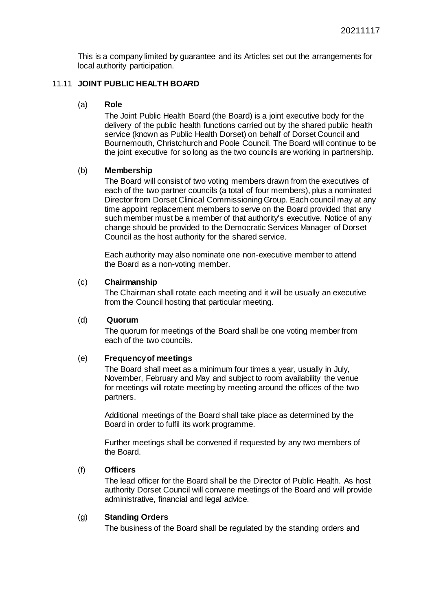This is a company limited by guarantee and its Articles set out the arrangements for local authority participation.

# 11.11 **JOINT PUBLIC HEALTH BOARD**

### (a) **Role**

The Joint Public Health Board (the Board) is a joint executive body for the delivery of the public health functions carried out by the shared public health service (known as Public Health Dorset) on behalf of Dorset Council and Bournemouth, Christchurch and Poole Council. The Board will continue to be the joint executive for so long as the two councils are working in partnership.

#### (b) **Membership**

The Board will consist of two voting members drawn from the executives of each of the two partner councils (a total of four members), plus a nominated Director from Dorset Clinical Commissioning Group. Each council may at any time appoint replacement members to serve on the Board provided that any such member must be a member of that authority's executive. Notice of any change should be provided to the Democratic Services Manager of Dorset Council as the host authority for the shared service.

Each authority may also nominate one non-executive member to attend the Board as a non-voting member.

#### (c) **Chairmanship**

The Chairman shall rotate each meeting and it will be usually an executive from the Council hosting that particular meeting.

#### (d) **Quorum**

The quorum for meetings of the Board shall be one voting member from each of the two councils.

# (e) **Frequency of meetings**

The Board shall meet as a minimum four times a year, usually in July, November, February and May and subject to room availability the venue for meetings will rotate meeting by meeting around the offices of the two partners.

Additional meetings of the Board shall take place as determined by the Board in order to fulfil its work programme.

Further meetings shall be convened if requested by any two members of the Board.

# (f) **Officers**

The lead officer for the Board shall be the Director of Public Health. As host authority Dorset Council will convene meetings of the Board and will provide administrative, financial and legal advice.

# (g) **Standing Orders**

The business of the Board shall be regulated by the standing orders and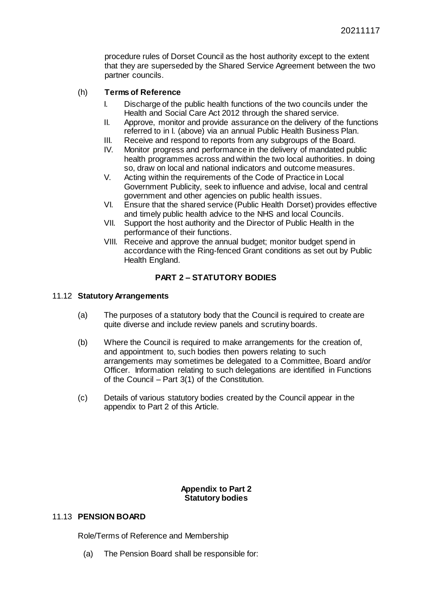procedure rules of Dorset Council as the host authority except to the extent that they are superseded by the Shared Service Agreement between the two partner councils.

# (h) **Terms of Reference**

- I. Discharge of the public health functions of the two councils under the Health and Social Care Act 2012 through the shared service.
- II. Approve, monitor and provide assurance on the delivery of the functions referred to in I. (above) via an annual Public Health Business Plan.
- III. Receive and respond to reports from any subgroups of the Board.
- IV. Monitor progress and performance in the delivery of mandated public health programmes across and within the two local authorities. In doing so, draw on local and national indicators and outcome measures.
- V. Acting within the requirements of the Code of Practice in Local Government Publicity, seek to influence and advise, local and central government and other agencies on public health issues.
- VI. Ensure that the shared service (Public Health Dorset) provides effective and timely public health advice to the NHS and local Councils.
- VII. Support the host authority and the Director of Public Health in the performance of their functions.
- VIII. Receive and approve the annual budget; monitor budget spend in accordance with the Ring-fenced Grant conditions as set out by Public Health England.

# **PART 2 – STATUTORY BODIES**

#### 11.12 **Statutory Arrangements**

- (a) The purposes of a statutory body that the Council is required to create are quite diverse and include review panels and scrutiny boards.
- (b) Where the Council is required to make arrangements for the creation of, and appointment to, such bodies then powers relating to such arrangements may sometimes be delegated to a Committee, Board and/or Officer. Information relating to such delegations are identified in Functions of the Council – Part 3(1) of the Constitution.
- (c) Details of various statutory bodies created by the Council appear in the appendix to Part 2 of this Article.

# **Appendix to Part 2 Statutory bodies**

# 11.13 **PENSION BOARD**

Role/Terms of Reference and Membership

(a) The Pension Board shall be responsible for: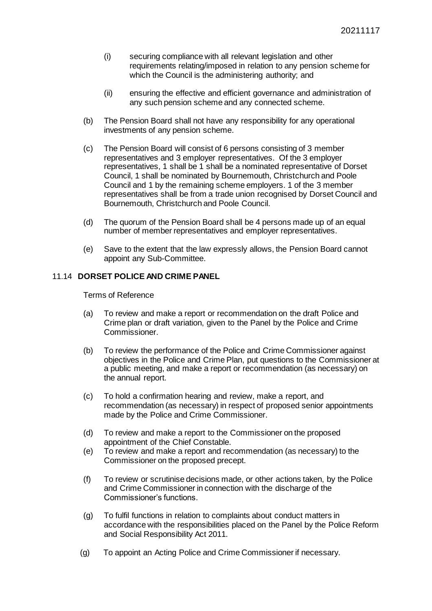- (i) securing compliance with all relevant legislation and other requirements relating/imposed in relation to any pension scheme for which the Council is the administering authority; and
- (ii) ensuring the effective and efficient governance and administration of any such pension scheme and any connected scheme.
- (b) The Pension Board shall not have any responsibility for any operational investments of any pension scheme.
- (c) The Pension Board will consist of 6 persons consisting of 3 member representatives and 3 employer representatives. Of the 3 employer representatives, 1 shall be 1 shall be a nominated representative of Dorset Council, 1 shall be nominated by Bournemouth, Christchurch and Poole Council and 1 by the remaining scheme employers. 1 of the 3 member representatives shall be from a trade union recognised by Dorset Council and Bournemouth, Christchurch and Poole Council.
- (d) The quorum of the Pension Board shall be 4 persons made up of an equal number of member representatives and employer representatives.
- (e) Save to the extent that the law expressly allows, the Pension Board cannot appoint any Sub-Committee.

# 11.14 **DORSET POLICE AND CRIME PANEL**

- (a) To review and make a report or recommendation on the draft Police and Crime plan or draft variation, given to the Panel by the Police and Crime Commissioner.
- (b) To review the performance of the Police and Crime Commissioner against objectives in the Police and Crime Plan, put questions to the Commissioner at a public meeting, and make a report or recommendation (as necessary) on the annual report.
- (c) To hold a confirmation hearing and review, make a report, and recommendation (as necessary) in respect of proposed senior appointments made by the Police and Crime Commissioner.
- (d) To review and make a report to the Commissioner on the proposed appointment of the Chief Constable.
- (e) To review and make a report and recommendation (as necessary) to the Commissioner on the proposed precept.
- (f) To review or scrutinise decisions made, or other actions taken, by the Police and Crime Commissioner in connection with the discharge of the Commissioner's functions.
- (g) To fulfil functions in relation to complaints about conduct matters in accordance with the responsibilities placed on the Panel by the Police Reform and Social Responsibility Act 2011.
- (g) To appoint an Acting Police and Crime Commissioner if necessary.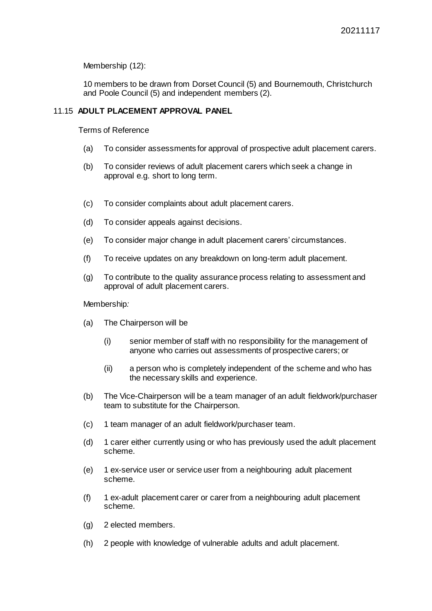Membership (12):

10 members to be drawn from Dorset Council (5) and Bournemouth, Christchurch and Poole Council (5) and independent members (2).

# 11.15 **ADULT PLACEMENT APPROVAL PANEL**

Terms of Reference

- (a) To consider assessments for approval of prospective adult placement carers.
- (b) To consider reviews of adult placement carers which seek a change in approval e.g. short to long term.
- (c) To consider complaints about adult placement carers.
- (d) To consider appeals against decisions.
- (e) To consider major change in adult placement carers' circumstances.
- (f) To receive updates on any breakdown on long-term adult placement.
- (g) To contribute to the quality assurance process relating to assessment and approval of adult placement carers.

Membership*:*

- (a) The Chairperson will be
	- (i) senior member of staff with no responsibility for the management of anyone who carries out assessments of prospective carers; or
	- (ii) a person who is completely independent of the scheme and who has the necessary skills and experience.
- (b) The Vice-Chairperson will be a team manager of an adult fieldwork/purchaser team to substitute for the Chairperson.
- (c) 1 team manager of an adult fieldwork/purchaser team.
- (d) 1 carer either currently using or who has previously used the adult placement scheme.
- (e) 1 ex-service user or service user from a neighbouring adult placement scheme.
- (f) 1 ex-adult placement carer or carer from a neighbouring adult placement scheme.
- (g) 2 elected members.
- (h) 2 people with knowledge of vulnerable adults and adult placement.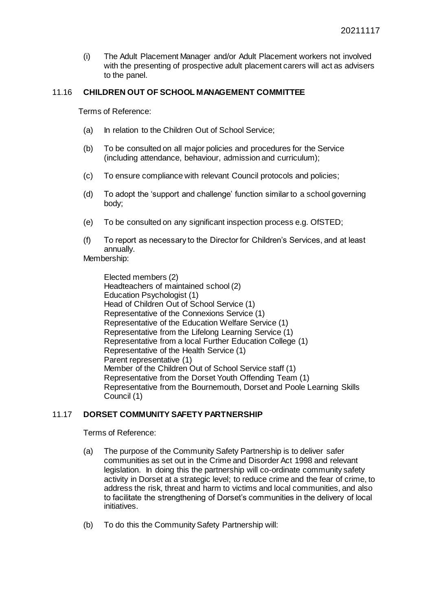(i) The Adult Placement Manager and/or Adult Placement workers not involved with the presenting of prospective adult placement carers will act as advisers to the panel.

# 11.16 **CHILDREN OUT OF SCHOOL MANAGEMENT COMMITTEE**

Terms of Reference:

- (a) In relation to the Children Out of School Service;
- (b) To be consulted on all major policies and procedures for the Service (including attendance, behaviour, admission and curriculum);
- (c) To ensure compliance with relevant Council protocols and policies;
- (d) To adopt the 'support and challenge' function similar to a school governing body;
- (e) To be consulted on any significant inspection process e.g. OfSTED;
- (f) To report as necessary to the Director for Children's Services, and at least annually.

Membership:

Elected members (2) Headteachers of maintained school (2) Education Psychologist (1) Head of Children Out of School Service (1) Representative of the Connexions Service (1) Representative of the Education Welfare Service (1) Representative from the Lifelong Learning Service (1) Representative from a local Further Education College (1) Representative of the Health Service (1) Parent representative (1) Member of the Children Out of School Service staff (1) Representative from the Dorset Youth Offending Team (1) Representative from the Bournemouth, Dorset and Poole Learning Skills Council (1)

# 11.17 **DORSET COMMUNITY SAFETY PARTNERSHIP**

- (a) The purpose of the Community Safety Partnership is to deliver safer communities as set out in the Crime and Disorder Act 1998 and relevant legislation. In doing this the partnership will co-ordinate community safety activity in Dorset at a strategic level; to reduce crime and the fear of crime, to address the risk, threat and harm to victims and local communities, and also to facilitate the strengthening of Dorset's communities in the delivery of local initiatives.
- (b) To do this the Community Safety Partnership will: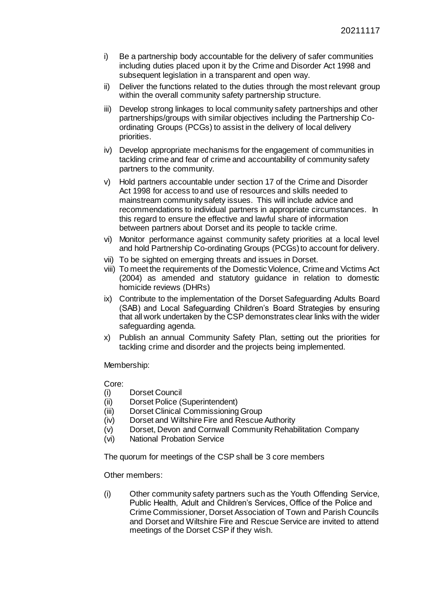- i) Be a partnership body accountable for the delivery of safer communities including duties placed upon it by the Crime and Disorder Act 1998 and subsequent legislation in a transparent and open way.
- ii) Deliver the functions related to the duties through the most relevant group within the overall community safety partnership structure.
- iii) Develop strong linkages to local community safety partnerships and other partnerships/groups with similar objectives including the Partnership Coordinating Groups (PCGs) to assist in the delivery of local delivery priorities.
- iv) Develop appropriate mechanisms for the engagement of communities in tackling crime and fear of crime and accountability of community safety partners to the community.
- v) Hold partners accountable under section 17 of the Crime and Disorder Act 1998 for access to and use of resources and skills needed to mainstream community safety issues. This will include advice and recommendations to individual partners in appropriate circumstances. In this regard to ensure the effective and lawful share of information between partners about Dorset and its people to tackle crime.
- vi) Monitor performance against community safety priorities at a local level and hold Partnership Co-ordinating Groups (PCGs) to account for delivery.
- vii) To be sighted on emerging threats and issues in Dorset.
- viii) To meet the requirements of the Domestic Violence, Crime and Victims Act (2004) as amended and statutory guidance in relation to domestic homicide reviews (DHRs)
- ix) Contribute to the implementation of the Dorset Safeguarding Adults Board (SAB) and Local Safeguarding Children's Board Strategies by ensuring that all work undertaken by the CSP demonstrates clear links with the wider safeguarding agenda.
- x) Publish an annual Community Safety Plan, setting out the priorities for tackling crime and disorder and the projects being implemented.

Membership:

Core:

- (i) Dorset Council
- (ii) Dorset Police (Superintendent)
- (iii) Dorset Clinical Commissioning Group
- (iv) Dorset and Wiltshire Fire and Rescue Authority
- (v) Dorset, Devon and Cornwall Community Rehabilitation Company
- (vi) National Probation Service

The quorum for meetings of the CSP shall be 3 core members

Other members:

(i) Other community safety partners such as the Youth Offending Service, Public Health, Adult and Children's Services, Office of the Police and Crime Commissioner, Dorset Association of Town and Parish Councils and Dorset and Wiltshire Fire and Rescue Service are invited to attend meetings of the Dorset CSP if they wish.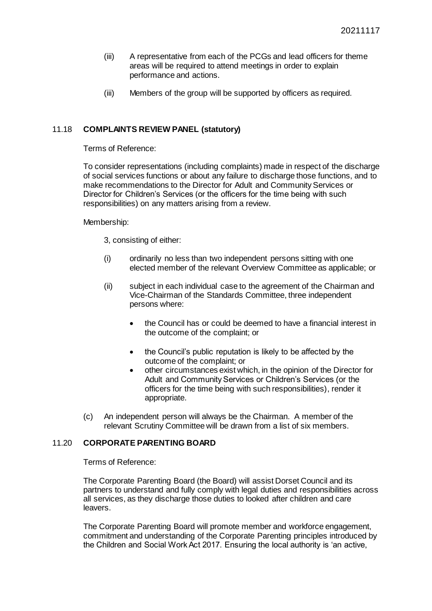- (iii) A representative from each of the PCGs and lead officers for theme areas will be required to attend meetings in order to explain performance and actions.
- (iii) Members of the group will be supported by officers as required.

# 11.18 **COMPLAINTS REVIEW PANEL (statutory)**

Terms of Reference:

To consider representations (including complaints) made in respect of the discharge of social services functions or about any failure to discharge those functions, and to make recommendations to the Director for Adult and Community Services or Director for Children's Services (or the officers for the time being with such responsibilities) on any matters arising from a review.

Membership:

3, consisting of either:

- (i) ordinarily no less than two independent persons sitting with one elected member of the relevant Overview Committee as applicable; or
- (ii) subject in each individual case to the agreement of the Chairman and Vice-Chairman of the Standards Committee, three independent persons where:
	- the Council has or could be deemed to have a financial interest in the outcome of the complaint; or
	- the Council's public reputation is likely to be affected by the outcome of the complaint; or
	- other circumstances exist which, in the opinion of the Director for Adult and Community Services or Children's Services (or the officers for the time being with such responsibilities), render it appropriate.
- (c) An independent person will always be the Chairman. A member of the relevant Scrutiny Committee will be drawn from a list of six members.

# 11.20 **CORPORATE PARENTING BOARD**

Terms of Reference:

The Corporate Parenting Board (the Board) will assist Dorset Council and its partners to understand and fully comply with legal duties and responsibilities across all services, as they discharge those duties to looked after children and care leavers.

The Corporate Parenting Board will promote member and workforce engagement, commitment and understanding of the Corporate Parenting principles introduced by the Children and Social Work Act 2017. Ensuring the local authority is 'an active,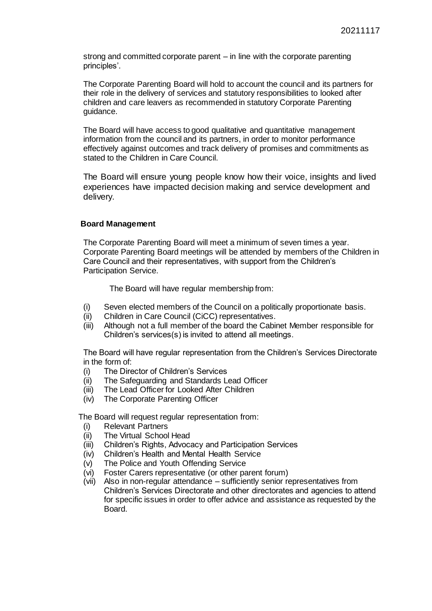strong and committed corporate parent – in line with the corporate parenting principles'.

The Corporate Parenting Board will hold to account the council and its partners for their role in the delivery of services and statutory responsibilities to looked after children and care leavers as recommended in statutory Corporate Parenting guidance.

The Board will have access to good qualitative and quantitative management information from the council and its partners, in order to monitor performance effectively against outcomes and track delivery of promises and commitments as stated to the Children in Care Council.

The Board will ensure young people know how their voice, insights and lived experiences have impacted decision making and service development and delivery.

#### **Board Management**

The Corporate Parenting Board will meet a minimum of seven times a year. Corporate Parenting Board meetings will be attended by members of the Children in Care Council and their representatives, with support from the Children's Participation Service.

The Board will have regular membership from:

- (i) Seven elected members of the Council on a politically proportionate basis.
- (ii) Children in Care Council (CiCC) representatives.
- (iii) Although not a full member of the board the Cabinet Member responsible for Children's services(s) is invited to attend all meetings.

The Board will have regular representation from the Children's Services Directorate in the form of:

- (i) The Director of Children's Services
- (ii) The Safeguarding and Standards Lead Officer
- (iii) The Lead Officer for Looked After Children
- (iv) The Corporate Parenting Officer

The Board will request regular representation from:

- (i) Relevant Partners
- (ii) The Virtual School Head
- (iii) Children's Rights, Advocacy and Participation Services
- (iv) Children's Health and Mental Health Service
- (v) The Police and Youth Offending Service
- (vi) Foster Carers representative (or other parent forum)
- (vii) Also in non-regular attendance sufficiently senior representatives from Children's Services Directorate and other directorates and agencies to attend for specific issues in order to offer advice and assistance as requested by the Board.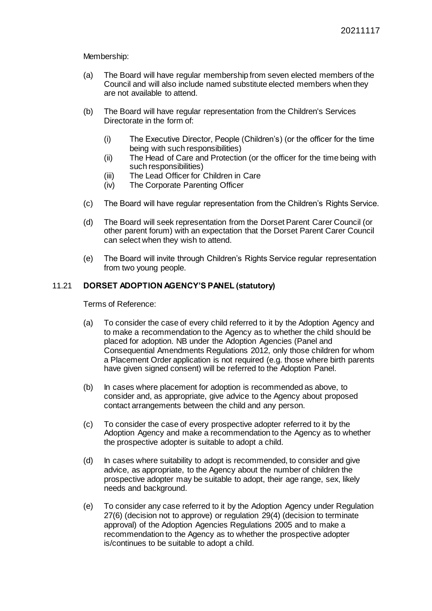Membership:

- (a) The Board will have regular membership from seven elected members of the Council and will also include named substitute elected members when they are not available to attend.
- (b) The Board will have regular representation from the Children's Services Directorate in the form of:
	- (i) The Executive Director, People (Children's) (or the officer for the time being with such responsibilities)
	- (ii) The Head of Care and Protection (or the officer for the time being with such responsibilities)
	- (iii) The Lead Officer for Children in Care
	- (iv) The Corporate Parenting Officer
- (c) The Board will have regular representation from the Children's Rights Service.
- (d) The Board will seek representation from the Dorset Parent Carer Council (or other parent forum) with an expectation that the Dorset Parent Carer Council can select when they wish to attend.
- (e) The Board will invite through Children's Rights Service regular representation from two young people.

# 11.21 **DORSET ADOPTION AGENCY'S PANEL (statutory)**

- (a) To consider the case of every child referred to it by the Adoption Agency and to make a recommendation to the Agency as to whether the child should be placed for adoption. NB under the Adoption Agencies (Panel and Consequential Amendments Regulations 2012, only those children for whom a Placement Order application is not required (e.g. those where birth parents have given signed consent) will be referred to the Adoption Panel.
- (b) In cases where placement for adoption is recommended as above, to consider and, as appropriate, give advice to the Agency about proposed contact arrangements between the child and any person.
- (c) To consider the case of every prospective adopter referred to it by the Adoption Agency and make a recommendation to the Agency as to whether the prospective adopter is suitable to adopt a child.
- (d) In cases where suitability to adopt is recommended, to consider and give advice, as appropriate, to the Agency about the number of children the prospective adopter may be suitable to adopt, their age range, sex, likely needs and background.
- (e) To consider any case referred to it by the Adoption Agency under Regulation 27(6) (decision not to approve) or regulation 29(4) (decision to terminate approval) of the Adoption Agencies Regulations 2005 and to make a recommendation to the Agency as to whether the prospective adopter is/continues to be suitable to adopt a child.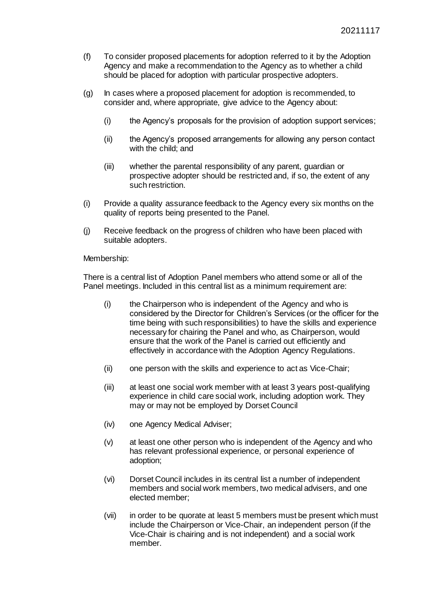- (f) To consider proposed placements for adoption referred to it by the Adoption Agency and make a recommendation to the Agency as to whether a child should be placed for adoption with particular prospective adopters.
- (g) In cases where a proposed placement for adoption is recommended, to consider and, where appropriate, give advice to the Agency about:
	- (i) the Agency's proposals for the provision of adoption support services;
	- (ii) the Agency's proposed arrangements for allowing any person contact with the child; and
	- (iii) whether the parental responsibility of any parent, guardian or prospective adopter should be restricted and, if so, the extent of any such restriction.
- (i) Provide a quality assurance feedback to the Agency every six months on the quality of reports being presented to the Panel.
- (j) Receive feedback on the progress of children who have been placed with suitable adopters.

#### Membership:

There is a central list of Adoption Panel members who attend some or all of the Panel meetings. Included in this central list as a minimum requirement are:

- (i) the Chairperson who is independent of the Agency and who is considered by the Director for Children's Services (or the officer for the time being with such responsibilities) to have the skills and experience necessary for chairing the Panel and who, as Chairperson, would ensure that the work of the Panel is carried out efficiently and effectively in accordance with the Adoption Agency Regulations.
- (ii) one person with the skills and experience to act as Vice-Chair;
- (iii) at least one social work member with at least 3 years post-qualifying experience in child care social work, including adoption work. They may or may not be employed by Dorset Council
- (iv) one Agency Medical Adviser;
- (v) at least one other person who is independent of the Agency and who has relevant professional experience, or personal experience of adoption;
- (vi) Dorset Council includes in its central list a number of independent members and social work members, two medical advisers, and one elected member;
- (vii) in order to be quorate at least 5 members must be present which must include the Chairperson or Vice-Chair, an independent person (if the Vice-Chair is chairing and is not independent) and a social work member.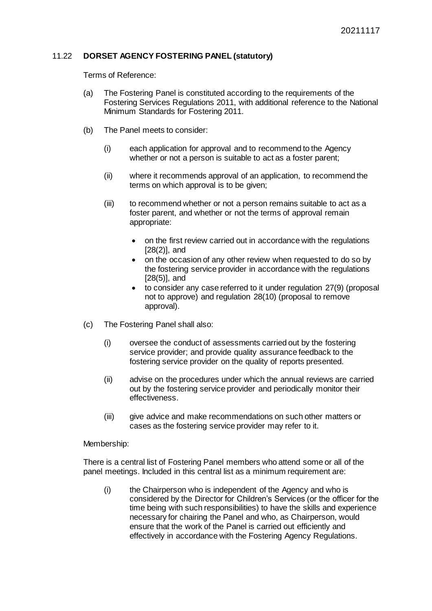# 11.22 **DORSET AGENCY FOSTERING PANEL (statutory)**

Terms of Reference:

- (a) The Fostering Panel is constituted according to the requirements of the Fostering Services Regulations 2011, with additional reference to the National Minimum Standards for Fostering 2011.
- (b) The Panel meets to consider:
	- (i) each application for approval and to recommend to the Agency whether or not a person is suitable to act as a foster parent;
	- (ii) where it recommends approval of an application, to recommend the terms on which approval is to be given;
	- (iii) to recommend whether or not a person remains suitable to act as a foster parent, and whether or not the terms of approval remain appropriate:
		- on the first review carried out in accordance with the regulations [28(2)], and
		- on the occasion of any other review when requested to do so by the fostering service provider in accordance with the regulations [28(5)], and
		- to consider any case referred to it under regulation 27(9) (proposal not to approve) and regulation 28(10) (proposal to remove approval).
- (c) The Fostering Panel shall also:
	- (i) oversee the conduct of assessments carried out by the fostering service provider; and provide quality assurance feedback to the fostering service provider on the quality of reports presented.
	- (ii) advise on the procedures under which the annual reviews are carried out by the fostering service provider and periodically monitor their effectiveness.
	- (iii) give advice and make recommendations on such other matters or cases as the fostering service provider may refer to it.

#### Membership:

There is a central list of Fostering Panel members who attend some or all of the panel meetings. Included in this central list as a minimum requirement are:

(i) the Chairperson who is independent of the Agency and who is considered by the Director for Children's Services (or the officer for the time being with such responsibilities) to have the skills and experience necessary for chairing the Panel and who, as Chairperson, would ensure that the work of the Panel is carried out efficiently and effectively in accordance with the Fostering Agency Regulations.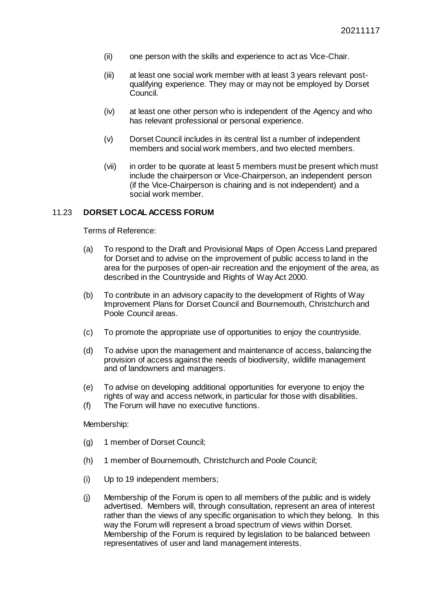- (ii) one person with the skills and experience to act as Vice-Chair.
- (iii) at least one social work member with at least 3 years relevant postqualifying experience. They may or may not be employed by Dorset Council.
- (iv) at least one other person who is independent of the Agency and who has relevant professional or personal experience.
- (v) Dorset Council includes in its central list a number of independent members and social work members, and two elected members.
- (vii) in order to be quorate at least 5 members must be present which must include the chairperson or Vice-Chairperson, an independent person (if the Vice-Chairperson is chairing and is not independent) and a social work member.

### 11.23 **DORSET LOCAL ACCESS FORUM**

Terms of Reference:

- (a) To respond to the Draft and Provisional Maps of Open Access Land prepared for Dorset and to advise on the improvement of public access to land in the area for the purposes of open-air recreation and the enjoyment of the area, as described in the Countryside and Rights of Way Act 2000.
- (b) To contribute in an advisory capacity to the development of Rights of Way Improvement Plans for Dorset Council and Bournemouth, Christchurch and Poole Council areas.
- (c) To promote the appropriate use of opportunities to enjoy the countryside.
- (d) To advise upon the management and maintenance of access, balancing the provision of access against the needs of biodiversity, wildlife management and of landowners and managers.
- (e) To advise on developing additional opportunities for everyone to enjoy the rights of way and access network, in particular for those with disabilities.
- (f) The Forum will have no executive functions.

#### Membership:

- (g) 1 member of Dorset Council;
- (h) 1 member of Bournemouth, Christchurch and Poole Council;
- (i) Up to 19 independent members;
- (j) Membership of the Forum is open to all members of the public and is widely advertised. Members will, through consultation, represent an area of interest rather than the views of any specific organisation to which they belong. In this way the Forum will represent a broad spectrum of views within Dorset. Membership of the Forum is required by legislation to be balanced between representatives of user and land management interests.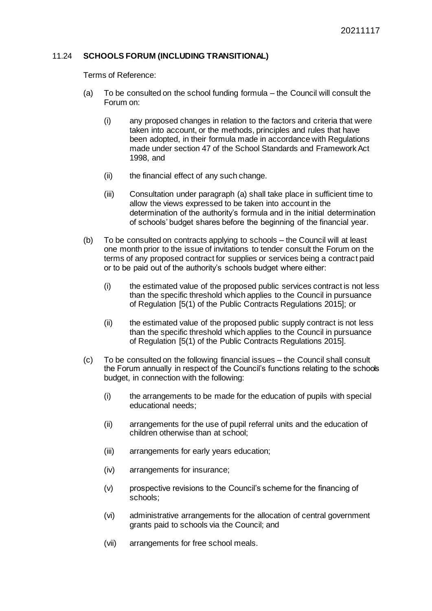# 11.24 **SCHOOLS FORUM (INCLUDING TRANSITIONAL)**

- (a) To be consulted on the school funding formula the Council will consult the Forum on:
	- (i) any proposed changes in relation to the factors and criteria that were taken into account, or the methods, principles and rules that have been adopted, in their formula made in accordance with Regulations made under section 47 of the School Standards and Framework Act 1998, and
	- (ii) the financial effect of any such change.
	- (iii) Consultation under paragraph (a) shall take place in sufficient time to allow the views expressed to be taken into account in the determination of the authority's formula and in the initial determination of schools' budget shares before the beginning of the financial year.
- (b) To be consulted on contracts applying to schools the Council will at least one month prior to the issue of invitations to tender consult the Forum on the terms of any proposed contract for supplies or services being a contract paid or to be paid out of the authority's schools budget where either:
	- (i) the estimated value of the proposed public services contract is not less than the specific threshold which applies to the Council in pursuance of Regulation [5(1) of the Public Contracts Regulations 2015]; or
	- (ii) the estimated value of the proposed public supply contract is not less than the specific threshold which applies to the Council in pursuance of Regulation [5(1) of the Public Contracts Regulations 2015].
- (c) To be consulted on the following financial issues the Council shall consult the Forum annually in respect of the Council's functions relating to the schools budget, in connection with the following:
	- (i) the arrangements to be made for the education of pupils with special educational needs;
	- (ii) arrangements for the use of pupil referral units and the education of children otherwise than at school;
	- (iii) arrangements for early years education;
	- (iv) arrangements for insurance;
	- (v) prospective revisions to the Council's scheme for the financing of schools;
	- (vi) administrative arrangements for the allocation of central government grants paid to schools via the Council; and
	- (vii) arrangements for free school meals.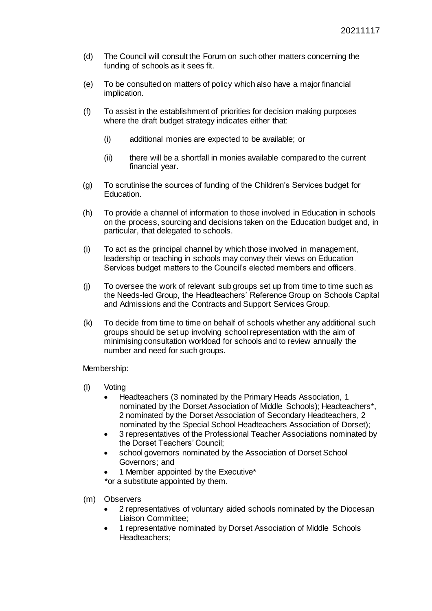- (d) The Council will consult the Forum on such other matters concerning the funding of schools as it sees fit.
- (e) To be consulted on matters of policy which also have a major financial implication.
- (f) To assist in the establishment of priorities for decision making purposes where the draft budget strategy indicates either that:
	- (i) additional monies are expected to be available; or
	- (ii) there will be a shortfall in monies available compared to the current financial year.
- (g) To scrutinise the sources of funding of the Children's Services budget for Education.
- (h) To provide a channel of information to those involved in Education in schools on the process, sourcing and decisions taken on the Education budget and, in particular, that delegated to schools.
- (i) To act as the principal channel by which those involved in management, leadership or teaching in schools may convey their views on Education Services budget matters to the Council's elected members and officers.
- (j) To oversee the work of relevant sub groups set up from time to time such as the Needs-led Group, the Headteachers' Reference Group on Schools Capital and Admissions and the Contracts and Support Services Group.
- (k) To decide from time to time on behalf of schools whether any additional such groups should be set up involving school representation with the aim of minimising consultation workload for schools and to review annually the number and need for such groups.

#### Membership:

- (l) Voting
	- Headteachers (3 nominated by the Primary Heads Association, 1 nominated by the Dorset Association of Middle Schools); Headteachers\*, 2 nominated by the Dorset Association of Secondary Headteachers, 2 nominated by the Special School Headteachers Association of Dorset);
	- 3 representatives of the Professional Teacher Associations nominated by the Dorset Teachers' Council;
	- school governors nominated by the Association of Dorset School Governors; and
	- 1 Member appointed by the Executive\*

\*or a substitute appointed by them.

- (m) Observers
	- 2 representatives of voluntary aided schools nominated by the Diocesan Liaison Committee;
	- 1 representative nominated by Dorset Association of Middle Schools Headteachers;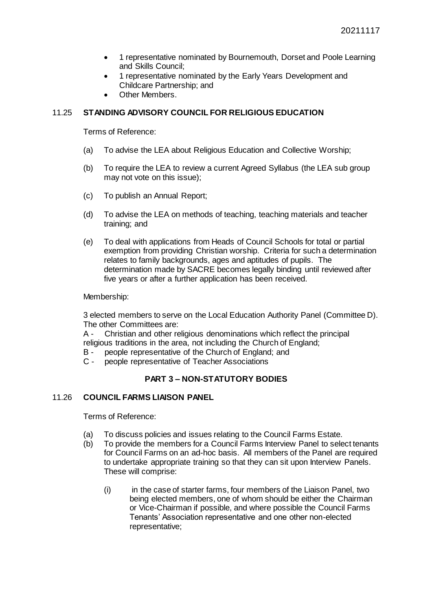- 1 representative nominated by Bournemouth, Dorset and Poole Learning and Skills Council;
- 1 representative nominated by the Early Years Development and Childcare Partnership; and
- Other Members.

# 11.25 **STANDING ADVISORY COUNCIL FOR RELIGIOUS EDUCATION**

Terms of Reference:

- (a) To advise the LEA about Religious Education and Collective Worship;
- (b) To require the LEA to review a current Agreed Syllabus (the LEA sub group may not vote on this issue);
- (c) To publish an Annual Report;
- (d) To advise the LEA on methods of teaching, teaching materials and teacher training; and
- (e) To deal with applications from Heads of Council Schools for total or partial exemption from providing Christian worship. Criteria for such a determination relates to family backgrounds, ages and aptitudes of pupils. The determination made by SACRE becomes legally binding until reviewed after five years or after a further application has been received.

Membership:

3 elected members to serve on the Local Education Authority Panel (Committee D). The other Committees are:

A - Christian and other religious denominations which reflect the principal religious traditions in the area, not including the Church of England;

- B people representative of the Church of England; and
- C people representative of Teacher Associations

# **PART 3 – NON-STATUTORY BODIES**

# 11.26 **COUNCIL FARMS LIAISON PANEL**

- (a) To discuss policies and issues relating to the Council Farms Estate.
- (b) To provide the members for a Council Farms Interview Panel to select tenants for Council Farms on an ad-hoc basis. All members of the Panel are required to undertake appropriate training so that they can sit upon Interview Panels. These will comprise:
	- (i) in the case of starter farms, four members of the Liaison Panel, two being elected members, one of whom should be either the Chairman or Vice-Chairman if possible, and where possible the Council Farms Tenants' Association representative and one other non-elected representative;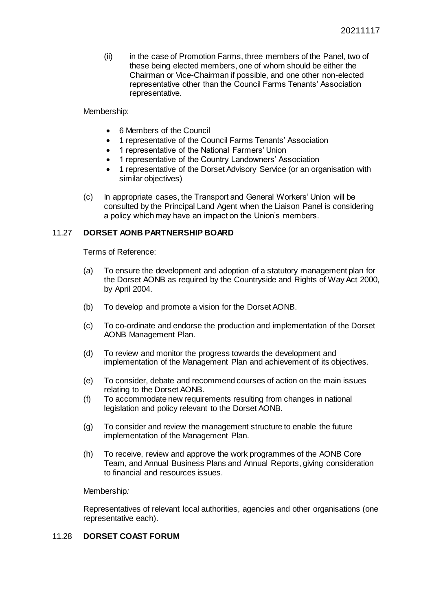(ii) in the case of Promotion Farms, three members of the Panel, two of these being elected members, one of whom should be either the Chairman or Vice-Chairman if possible, and one other non-elected representative other than the Council Farms Tenants' Association representative.

Membership:

- 6 Members of the Council
- 1 representative of the Council Farms Tenants' Association
- 1 representative of the National Farmers' Union
- 1 representative of the Country Landowners' Association
- 1 representative of the Dorset Advisory Service (or an organisation with similar objectives)
- (c) In appropriate cases, the Transport and General Workers' Union will be consulted by the Principal Land Agent when the Liaison Panel is considering a policy which may have an impact on the Union's members.

# 11.27 **DORSET AONB PARTNERSHIP BOARD**

Terms of Reference:

- (a) To ensure the development and adoption of a statutory management plan for the Dorset AONB as required by the Countryside and Rights of Way Act 2000, by April 2004.
- (b) To develop and promote a vision for the Dorset AONB.
- (c) To co-ordinate and endorse the production and implementation of the Dorset AONB Management Plan.
- (d) To review and monitor the progress towards the development and implementation of the Management Plan and achievement of its objectives.
- (e) To consider, debate and recommend courses of action on the main issues relating to the Dorset AONB.
- (f) To accommodate new requirements resulting from changes in national legislation and policy relevant to the Dorset AONB.
- (g) To consider and review the management structure to enable the future implementation of the Management Plan.
- (h) To receive, review and approve the work programmes of the AONB Core Team, and Annual Business Plans and Annual Reports, giving consideration to financial and resources issues.

Membership*:*

Representatives of relevant local authorities, agencies and other organisations (one representative each).

# 11.28 **DORSET COAST FORUM**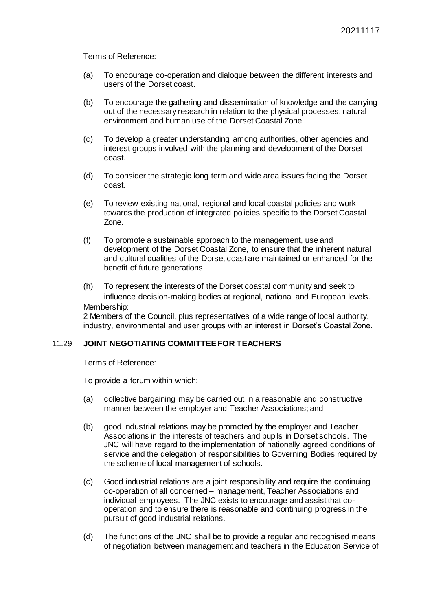Terms of Reference:

- (a) To encourage co-operation and dialogue between the different interests and users of the Dorset coast.
- (b) To encourage the gathering and dissemination of knowledge and the carrying out of the necessary research in relation to the physical processes, natural environment and human use of the Dorset Coastal Zone.
- (c) To develop a greater understanding among authorities, other agencies and interest groups involved with the planning and development of the Dorset coast.
- (d) To consider the strategic long term and wide area issues facing the Dorset coast.
- (e) To review existing national, regional and local coastal policies and work towards the production of integrated policies specific to the Dorset Coastal Zone.
- (f) To promote a sustainable approach to the management, use and development of the Dorset Coastal Zone, to ensure that the inherent natural and cultural qualities of the Dorset coast are maintained or enhanced for the benefit of future generations.
- (h) To represent the interests of the Dorset coastal community and seek to influence decision-making bodies at regional, national and European levels. Membership:

2 Members of the Council, plus representatives of a wide range of local authority, industry, environmental and user groups with an interest in Dorset's Coastal Zone.

# 11.29 **JOINT NEGOTIATING COMMITTEE FOR TEACHERS**

Terms of Reference:

To provide a forum within which:

- (a) collective bargaining may be carried out in a reasonable and constructive manner between the employer and Teacher Associations; and
- (b) good industrial relations may be promoted by the employer and Teacher Associations in the interests of teachers and pupils in Dorset schools. The JNC will have regard to the implementation of nationally agreed conditions of service and the delegation of responsibilities to Governing Bodies required by the scheme of local management of schools.
- (c) Good industrial relations are a joint responsibility and require the continuing co-operation of all concerned – management, Teacher Associations and individual employees. The JNC exists to encourage and assist that cooperation and to ensure there is reasonable and continuing progress in the pursuit of good industrial relations.
- (d) The functions of the JNC shall be to provide a regular and recognised means of negotiation between management and teachers in the Education Service of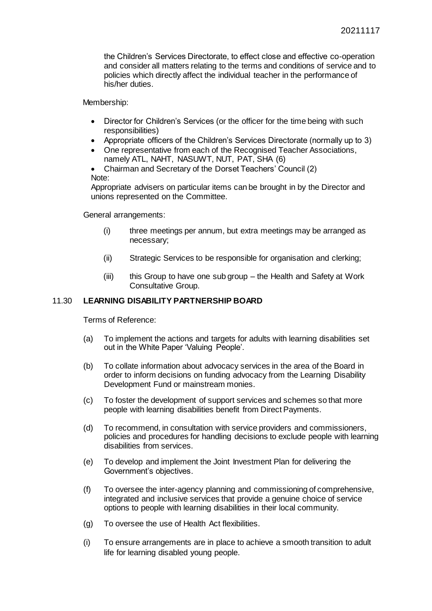the Children's Services Directorate, to effect close and effective co-operation and consider all matters relating to the terms and conditions of service and to policies which directly affect the individual teacher in the performance of his/her duties.

Membership:

- Director for Children's Services (or the officer for the time being with such responsibilities)
- Appropriate officers of the Children's Services Directorate (normally up to 3)
- One representative from each of the Recognised Teacher Associations, namely ATL, NAHT, NASUWT, NUT, PAT, SHA (6)
- Chairman and Secretary of the Dorset Teachers' Council (2)

Note:

Appropriate advisers on particular items can be brought in by the Director and unions represented on the Committee.

General arrangements:

- (i) three meetings per annum, but extra meetings may be arranged as necessary;
- (ii) Strategic Services to be responsible for organisation and clerking;
- (iii) this Group to have one sub group the Health and Safety at Work Consultative Group.

# 11.30 **LEARNING DISABILITY PARTNERSHIP BOARD**

- (a) To implement the actions and targets for adults with learning disabilities set out in the White Paper 'Valuing People'.
- (b) To collate information about advocacy services in the area of the Board in order to inform decisions on funding advocacy from the Learning Disability Development Fund or mainstream monies.
- (c) To foster the development of support services and schemes so that more people with learning disabilities benefit from Direct Payments.
- (d) To recommend, in consultation with service providers and commissioners, policies and procedures for handling decisions to exclude people with learning disabilities from services.
- (e) To develop and implement the Joint Investment Plan for delivering the Government's objectives.
- (f) To oversee the inter-agency planning and commissioning of comprehensive, integrated and inclusive services that provide a genuine choice of service options to people with learning disabilities in their local community.
- (g) To oversee the use of Health Act flexibilities.
- (i) To ensure arrangements are in place to achieve a smooth transition to adult life for learning disabled young people.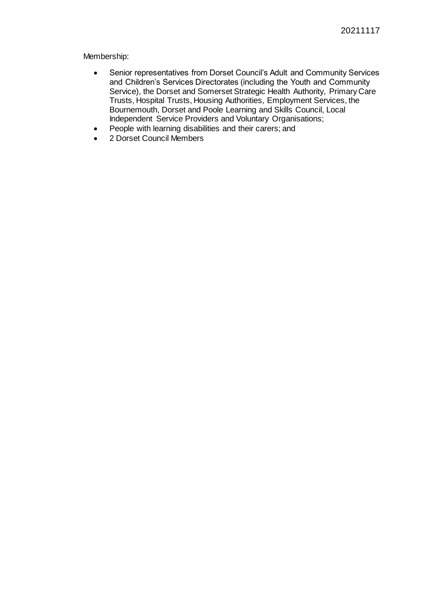Membership:

- Senior representatives from Dorset Council's Adult and Community Services and Children's Services Directorates (including the Youth and Community Service), the Dorset and Somerset Strategic Health Authority, Primary Care Trusts, Hospital Trusts, Housing Authorities, Employment Services, the Bournemouth, Dorset and Poole Learning and Skills Council, Local Independent Service Providers and Voluntary Organisations;
- People with learning disabilities and their carers; and
- 2 Dorset Council Members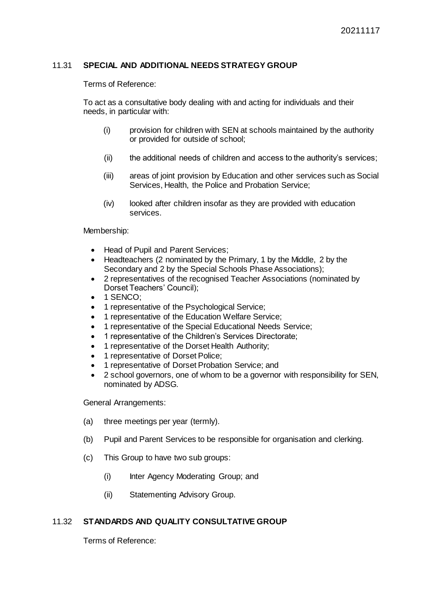# 11.31 **SPECIAL AND ADDITIONAL NEEDS STRATEGY GROUP**

Terms of Reference:

To act as a consultative body dealing with and acting for individuals and their needs, in particular with:

- (i) provision for children with SEN at schools maintained by the authority or provided for outside of school;
- (ii) the additional needs of children and access to the authority's services;
- (iii) areas of joint provision by Education and other services such as Social Services, Health, the Police and Probation Service;
- (iv) looked after children insofar as they are provided with education services.

Membership:

- Head of Pupil and Parent Services;
- Headteachers (2 nominated by the Primary, 1 by the Middle, 2 by the Secondary and 2 by the Special Schools Phase Associations);
- 2 representatives of the recognised Teacher Associations (nominated by Dorset Teachers' Council);
- 1 SENCO;
- 1 representative of the Psychological Service;
- 1 representative of the Education Welfare Service;
- 1 representative of the Special Educational Needs Service;
- 1 representative of the Children's Services Directorate;
- 1 representative of the Dorset Health Authority;
- 1 representative of Dorset Police;
- 1 representative of Dorset Probation Service; and
- 2 school governors, one of whom to be a governor with responsibility for SEN, nominated by ADSG.

General Arrangements:

- (a) three meetings per year (termly).
- (b) Pupil and Parent Services to be responsible for organisation and clerking.
- (c) This Group to have two sub groups:
	- (i) Inter Agency Moderating Group; and
	- (ii) Statementing Advisory Group.

# 11.32 **STANDARDS AND QUALITY CONSULTATIVE GROUP**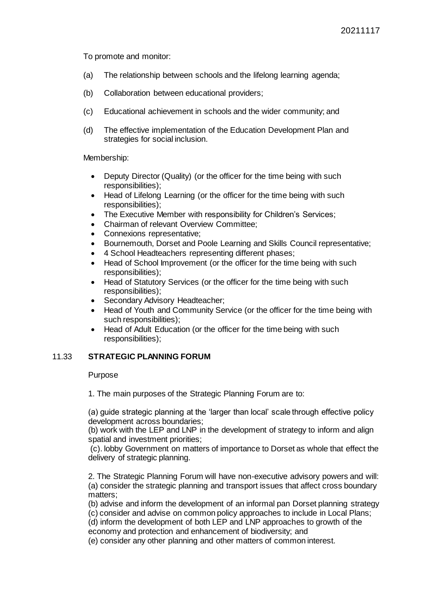To promote and monitor:

- (a) The relationship between schools and the lifelong learning agenda;
- (b) Collaboration between educational providers;
- (c) Educational achievement in schools and the wider community; and
- (d) The effective implementation of the Education Development Plan and strategies for social inclusion.

Membership:

- Deputy Director (Quality) (or the officer for the time being with such responsibilities);
- Head of Lifelong Learning (or the officer for the time being with such responsibilities);
- The Executive Member with responsibility for Children's Services;
- Chairman of relevant Overview Committee;
- Connexions representative;
- Bournemouth, Dorset and Poole Learning and Skills Council representative;
- 4 School Headteachers representing different phases;
- Head of School Improvement (or the officer for the time being with such responsibilities);
- Head of Statutory Services (or the officer for the time being with such responsibilities):
- Secondary Advisory Headteacher;
- Head of Youth and Community Service (or the officer for the time being with such responsibilities);
- Head of Adult Education (or the officer for the time being with such responsibilities);

# 11.33 **STRATEGIC PLANNING FORUM**

# Purpose

1. The main purposes of the Strategic Planning Forum are to:

(a) guide strategic planning at the 'larger than local' scale through effective policy development across boundaries;

(b) work with the LEP and LNP in the development of strategy to inform and align spatial and investment priorities;

(c). lobby Government on matters of importance to Dorset as whole that effect the delivery of strategic planning.

2. The Strategic Planning Forum will have non-executive advisory powers and will: (a) consider the strategic planning and transport issues that affect cross boundary matters;

(b) advise and inform the development of an informal pan Dorset planning strategy (c) consider and advise on common policy approaches to include in Local Plans;

(d) inform the development of both LEP and LNP approaches to growth of the economy and protection and enhancement of biodiversity; and

(e) consider any other planning and other matters of common interest.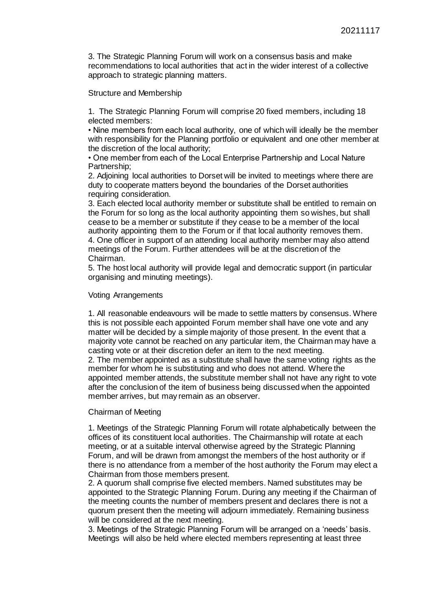3. The Strategic Planning Forum will work on a consensus basis and make recommendations to local authorities that act in the wider interest of a collective approach to strategic planning matters.

Structure and Membership

1. The Strategic Planning Forum will comprise 20 fixed members, including 18 elected members:

• Nine members from each local authority, one of which will ideally be the member with responsibility for the Planning portfolio or equivalent and one other member at the discretion of the local authority;

• One member from each of the Local Enterprise Partnership and Local Nature Partnership;

2. Adjoining local authorities to Dorset will be invited to meetings where there are duty to cooperate matters beyond the boundaries of the Dorset authorities requiring consideration.

3. Each elected local authority member or substitute shall be entitled to remain on the Forum for so long as the local authority appointing them so wishes, but shall cease to be a member or substitute if they cease to be a member of the local authority appointing them to the Forum or if that local authority removes them. 4. One officer in support of an attending local authority member may also attend meetings of the Forum. Further attendees will be at the discretion of the Chairman.

5. The host local authority will provide legal and democratic support (in particular organising and minuting meetings).

#### Voting Arrangements

1. All reasonable endeavours will be made to settle matters by consensus. Where this is not possible each appointed Forum member shall have one vote and any matter will be decided by a simple majority of those present. In the event that a majority vote cannot be reached on any particular item, the Chairman may have a casting vote or at their discretion defer an item to the next meeting. 2. The member appointed as a substitute shall have the same voting rights as the member for whom he is substituting and who does not attend. Where the

appointed member attends, the substitute member shall not have any right to vote after the conclusion of the item of business being discussed when the appointed member arrives, but may remain as an observer.

#### Chairman of Meeting

1. Meetings of the Strategic Planning Forum will rotate alphabetically between the offices of its constituent local authorities. The Chairmanship will rotate at each meeting, or at a suitable interval otherwise agreed by the Strategic Planning Forum, and will be drawn from amongst the members of the host authority or if there is no attendance from a member of the host authority the Forum may elect a Chairman from those members present.

2. A quorum shall comprise five elected members. Named substitutes may be appointed to the Strategic Planning Forum. During any meeting if the Chairman of the meeting counts the number of members present and declares there is not a quorum present then the meeting will adjourn immediately. Remaining business will be considered at the next meeting.

3. Meetings of the Strategic Planning Forum will be arranged on a 'needs' basis. Meetings will also be held where elected members representing at least three